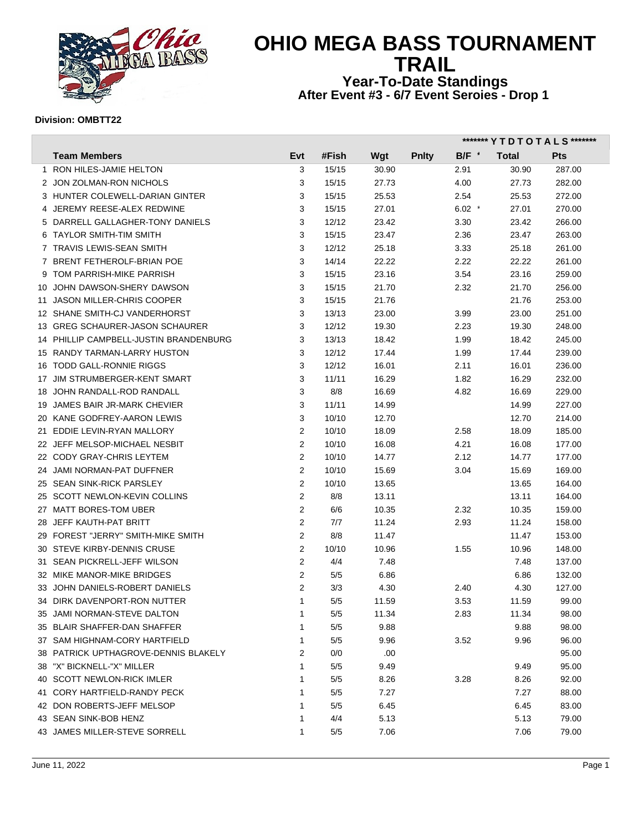

# **OHIO MEGA BASS TOURNAMENT TRAIL Year-To-Date Standings**

**After Event #3 - 6/7 Event Seroies - Drop 1** 

#### **Division: OMBTT22**

|                                        |                |       |       |              | ******* Y T D T O T A L S ******* |       |            |  |  |
|----------------------------------------|----------------|-------|-------|--------------|-----------------------------------|-------|------------|--|--|
| <b>Team Members</b>                    | Evt            | #Fish | Wgt   | <b>Pnlty</b> | B/F                               | Total | <b>Pts</b> |  |  |
| 1 RON HILES-JAMIE HELTON               | 3              | 15/15 | 30.90 |              | 2.91                              | 30.90 | 287.00     |  |  |
| 2 JON ZOLMAN-RON NICHOLS               | 3              | 15/15 | 27.73 |              | 4.00                              | 27.73 | 282.00     |  |  |
| 3 HUNTER COLEWELL-DARIAN GINTER        | 3              | 15/15 | 25.53 |              | 2.54                              | 25.53 | 272.00     |  |  |
| 4 JEREMY REESE-ALEX REDWINE            | 3              | 15/15 | 27.01 |              | $6.02$ $*$                        | 27.01 | 270.00     |  |  |
| 5 DARRELL GALLAGHER-TONY DANIELS       | 3              | 12/12 | 23.42 |              | 3.30                              | 23.42 | 266.00     |  |  |
| 6 TAYLOR SMITH-TIM SMITH               | 3              | 15/15 | 23.47 |              | 2.36                              | 23.47 | 263.00     |  |  |
| 7 TRAVIS LEWIS-SEAN SMITH              | 3              | 12/12 | 25.18 |              | 3.33                              | 25.18 | 261.00     |  |  |
| 7 BRENT FETHEROLF-BRIAN POE            | 3              | 14/14 | 22.22 |              | 2.22                              | 22.22 | 261.00     |  |  |
| 9 TOM PARRISH-MIKE PARRISH             | 3              | 15/15 | 23.16 |              | 3.54                              | 23.16 | 259.00     |  |  |
| 10 JOHN DAWSON-SHERY DAWSON            | 3              | 15/15 | 21.70 |              | 2.32                              | 21.70 | 256.00     |  |  |
| 11 JASON MILLER-CHRIS COOPER           | 3              | 15/15 | 21.76 |              |                                   | 21.76 | 253.00     |  |  |
| 12 SHANE SMITH-CJ VANDERHORST          | 3              | 13/13 | 23.00 |              | 3.99                              | 23.00 | 251.00     |  |  |
| 13 GREG SCHAURER-JASON SCHAURER        | 3              | 12/12 | 19.30 |              | 2.23                              | 19.30 | 248.00     |  |  |
| 14 PHILLIP CAMPBELL-JUSTIN BRANDENBURG | 3              | 13/13 | 18.42 |              | 1.99                              | 18.42 | 245.00     |  |  |
| 15 RANDY TARMAN-LARRY HUSTON           | 3              | 12/12 | 17.44 |              | 1.99                              | 17.44 | 239.00     |  |  |
| 16 TODD GALL-RONNIE RIGGS              | 3              | 12/12 | 16.01 |              | 2.11                              | 16.01 | 236.00     |  |  |
| 17 JIM STRUMBERGER-KENT SMART          | 3              | 11/11 | 16.29 |              | 1.82                              | 16.29 | 232.00     |  |  |
| 18 JOHN RANDALL-ROD RANDALL            | 3              | 8/8   | 16.69 |              | 4.82                              | 16.69 | 229.00     |  |  |
| 19 JAMES BAIR JR-MARK CHEVIER          | 3              | 11/11 | 14.99 |              |                                   | 14.99 | 227.00     |  |  |
| 20 KANE GODFREY-AARON LEWIS            | 3              | 10/10 | 12.70 |              |                                   | 12.70 | 214.00     |  |  |
| 21 EDDIE LEVIN-RYAN MALLORY            | $\overline{2}$ | 10/10 | 18.09 |              | 2.58                              | 18.09 | 185.00     |  |  |
| 22 JEFF MELSOP-MICHAEL NESBIT          | 2              | 10/10 | 16.08 |              | 4.21                              | 16.08 | 177.00     |  |  |
| 22 CODY GRAY-CHRIS LEYTEM              | $\overline{2}$ | 10/10 | 14.77 |              | 2.12                              | 14.77 | 177.00     |  |  |
| 24 JAMI NORMAN-PAT DUFFNER             | $\overline{2}$ | 10/10 | 15.69 |              | 3.04                              | 15.69 | 169.00     |  |  |
| 25 SEAN SINK-RICK PARSLEY              | $\overline{2}$ | 10/10 | 13.65 |              |                                   | 13.65 | 164.00     |  |  |
| 25 SCOTT NEWLON-KEVIN COLLINS          | $\overline{2}$ | 8/8   | 13.11 |              |                                   | 13.11 | 164.00     |  |  |
| 27 MATT BORES-TOM UBER                 | $\overline{2}$ | 6/6   | 10.35 |              | 2.32                              | 10.35 | 159.00     |  |  |
| 28 JEFF KAUTH-PAT BRITT                | $\overline{2}$ | 7/7   | 11.24 |              | 2.93                              | 11.24 | 158.00     |  |  |
| 29 FOREST "JERRY" SMITH-MIKE SMITH     | 2              | 8/8   | 11.47 |              |                                   | 11.47 | 153.00     |  |  |
| 30 STEVE KIRBY-DENNIS CRUSE            | $\overline{2}$ | 10/10 | 10.96 |              | 1.55                              | 10.96 | 148.00     |  |  |
| 31 SEAN PICKRELL-JEFF WILSON           | $\overline{2}$ | 4/4   | 7.48  |              |                                   | 7.48  | 137.00     |  |  |
| 32 MIKE MANOR-MIKE BRIDGES             | $\overline{2}$ | 5/5   | 6.86  |              |                                   | 6.86  | 132.00     |  |  |
| 33 JOHN DANIELS-ROBERT DANIELS         | $\overline{2}$ | 3/3   | 4.30  |              | 2.40                              | 4.30  | 127.00     |  |  |
| 34 DIRK DAVENPORT-RON NUTTER           | $\mathbf{1}$   | 5/5   | 11.59 |              | 3.53                              | 11.59 | 99.00      |  |  |
| 35 JAMI NORMAN-STEVE DALTON            | $\mathbf{1}$   | 5/5   | 11.34 |              | 2.83                              | 11.34 | 98.00      |  |  |
| 35 BLAIR SHAFFER-DAN SHAFFER           | 1              | 5/5   | 9.88  |              |                                   | 9.88  | 98.00      |  |  |
| 37 SAM HIGHNAM-CORY HARTFIELD          | 1              | 5/5   | 9.96  |              | 3.52                              | 9.96  | 96.00      |  |  |
| 38 PATRICK UPTHAGROVE-DENNIS BLAKELY   | 2              | 0/0   | .00.  |              |                                   |       | 95.00      |  |  |
| 38 "X" BICKNELL-"X" MILLER             | 1              | 5/5   | 9.49  |              |                                   | 9.49  | 95.00      |  |  |
| 40 SCOTT NEWLON-RICK IMLER             | 1              | 5/5   | 8.26  |              | 3.28                              | 8.26  | 92.00      |  |  |
| 41 CORY HARTFIELD-RANDY PECK           | -1             | 5/5   | 7.27  |              |                                   | 7.27  | 88.00      |  |  |
| 42 DON ROBERTS-JEFF MELSOP             | -1             | 5/5   | 6.45  |              |                                   | 6.45  | 83.00      |  |  |
| 43 SEAN SINK-BOB HENZ                  | 1              | 4/4   | 5.13  |              |                                   | 5.13  | 79.00      |  |  |
| 43 JAMES MILLER-STEVE SORRELL          | $\mathbf{1}$   | 5/5   | 7.06  |              |                                   | 7.06  | 79.00      |  |  |